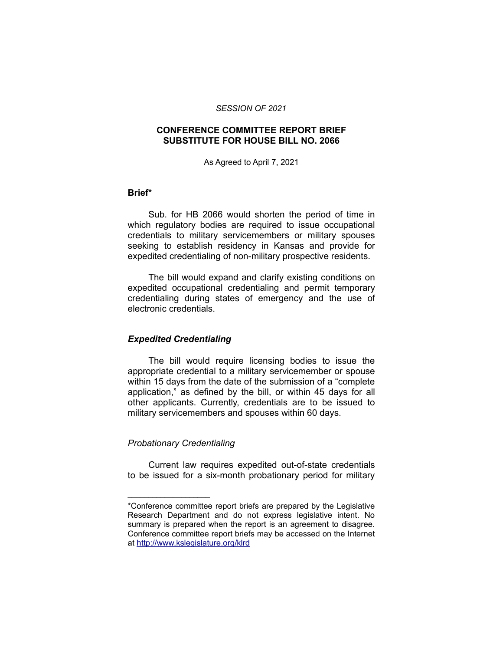#### *SESSION OF 2021*

#### **CONFERENCE COMMITTEE REPORT BRIEF SUBSTITUTE FOR HOUSE BILL NO. 2066**

#### As Agreed to April 7, 2021

#### **Brief\***

Sub. for HB 2066 would shorten the period of time in which regulatory bodies are required to issue occupational credentials to military servicemembers or military spouses seeking to establish residency in Kansas and provide for expedited credentialing of non-military prospective residents.

The bill would expand and clarify existing conditions on expedited occupational credentialing and permit temporary credentialing during states of emergency and the use of electronic credentials.

## *Expedited Credentialing*

The bill would require licensing bodies to issue the appropriate credential to a military servicemember or spouse within 15 days from the date of the submission of a "complete application," as defined by the bill, or within 45 days for all other applicants. Currently, credentials are to be issued to military servicemembers and spouses within 60 days.

## *Probationary Credentialing*

\_\_\_\_\_\_\_\_\_\_\_\_\_\_\_\_\_\_\_\_

Current law requires expedited out-of-state credentials to be issued for a six-month probationary period for military

<sup>\*</sup>Conference committee report briefs are prepared by the Legislative Research Department and do not express legislative intent. No summary is prepared when the report is an agreement to disagree. Conference committee report briefs may be accessed on the Internet at<http://www.kslegislature.org/klrd>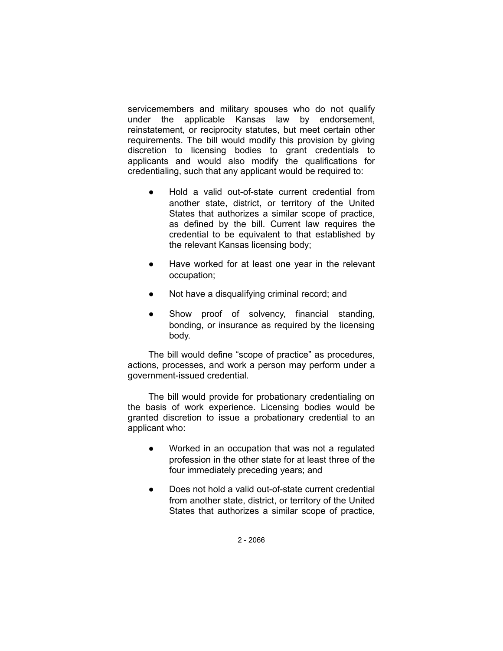servicemembers and military spouses who do not qualify under the applicable Kansas law by endorsement, reinstatement, or reciprocity statutes, but meet certain other requirements. The bill would modify this provision by giving discretion to licensing bodies to grant credentials to applicants and would also modify the qualifications for credentialing, such that any applicant would be required to:

- Hold a valid out-of-state current credential from another state, district, or territory of the United States that authorizes a similar scope of practice, as defined by the bill. Current law requires the credential to be equivalent to that established by the relevant Kansas licensing body;
- Have worked for at least one year in the relevant occupation;
- Not have a disqualifying criminal record; and
- Show proof of solvency, financial standing, bonding, or insurance as required by the licensing body.

The bill would define "scope of practice" as procedures, actions, processes, and work a person may perform under a government-issued credential.

The bill would provide for probationary credentialing on the basis of work experience. Licensing bodies would be granted discretion to issue a probationary credential to an applicant who:

- Worked in an occupation that was not a regulated profession in the other state for at least three of the four immediately preceding years; and
- Does not hold a valid out-of-state current credential from another state, district, or territory of the United States that authorizes a similar scope of practice,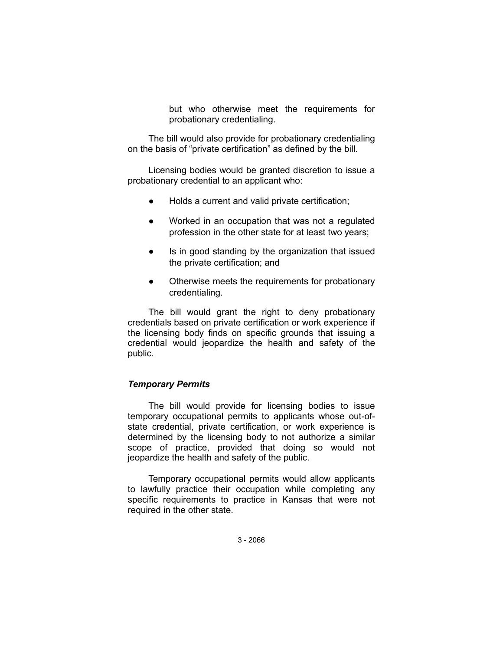but who otherwise meet the requirements for probationary credentialing.

The bill would also provide for probationary credentialing on the basis of "private certification" as defined by the bill.

Licensing bodies would be granted discretion to issue a probationary credential to an applicant who:

- Holds a current and valid private certification;
- Worked in an occupation that was not a regulated profession in the other state for at least two years;
- Is in good standing by the organization that issued the private certification; and
- Otherwise meets the requirements for probationary credentialing.

The bill would grant the right to deny probationary credentials based on private certification or work experience if the licensing body finds on specific grounds that issuing a credential would jeopardize the health and safety of the public.

#### *Temporary Permits*

The bill would provide for licensing bodies to issue temporary occupational permits to applicants whose out-ofstate credential, private certification, or work experience is determined by the licensing body to not authorize a similar scope of practice, provided that doing so would not jeopardize the health and safety of the public.

Temporary occupational permits would allow applicants to lawfully practice their occupation while completing any specific requirements to practice in Kansas that were not required in the other state.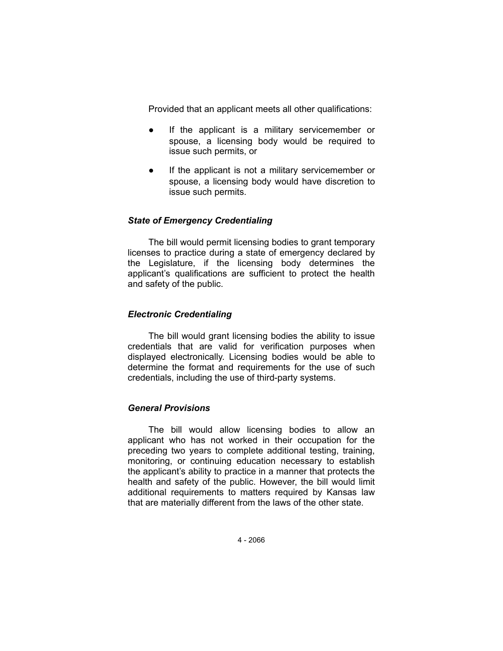Provided that an applicant meets all other qualifications:

- If the applicant is a military servicemember or spouse, a licensing body would be required to issue such permits, or
- If the applicant is not a military servicemember or spouse, a licensing body would have discretion to issue such permits.

## *State of Emergency Credentialing*

The bill would permit licensing bodies to grant temporary licenses to practice during a state of emergency declared by the Legislature, if the licensing body determines the applicant's qualifications are sufficient to protect the health and safety of the public.

# *Electronic Credentialing*

The bill would grant licensing bodies the ability to issue credentials that are valid for verification purposes when displayed electronically. Licensing bodies would be able to determine the format and requirements for the use of such credentials, including the use of third-party systems.

## *General Provisions*

The bill would allow licensing bodies to allow an applicant who has not worked in their occupation for the preceding two years to complete additional testing, training, monitoring, or continuing education necessary to establish the applicant's ability to practice in a manner that protects the health and safety of the public. However, the bill would limit additional requirements to matters required by Kansas law that are materially different from the laws of the other state.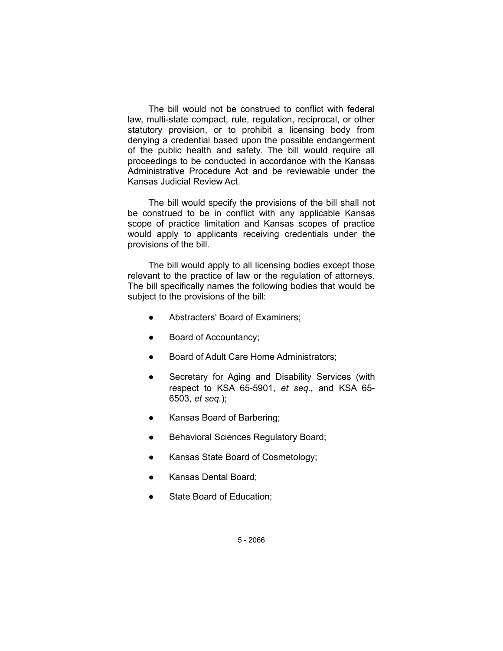The bill would not be construed to conflict with federal law, multi-state compact, rule, regulation, reciprocal, or other statutory provision, or to prohibit a licensing body from denying a credential based upon the possible endangerment of the public health and safety. The bill would require all proceedings to be conducted in accordance with the Kansas Administrative Procedure Act and be reviewable under the Kansas Judicial Review Act.

The bill would specify the provisions of the bill shall not be construed to be in conflict with any applicable Kansas scope of practice limitation and Kansas scopes of practice would apply to applicants receiving credentials under the provisions of the bill.

The bill would apply to all licensing bodies except those relevant to the practice of law or the regulation of attorneys. The bill specifically names the following bodies that would be subject to the provisions of the bill:

- Abstracters' Board of Examiners;
- Board of Accountancy;
- Board of Adult Care Home Administrators;
- Secretary for Aging and Disability Services (with respect to KSA 65-5901, *et seq.,* and KSA 65- 6503, *et seq.*);
- Kansas Board of Barbering;
- Behavioral Sciences Regulatory Board;
- Kansas State Board of Cosmetology;
- Kansas Dental Board;
- State Board of Education;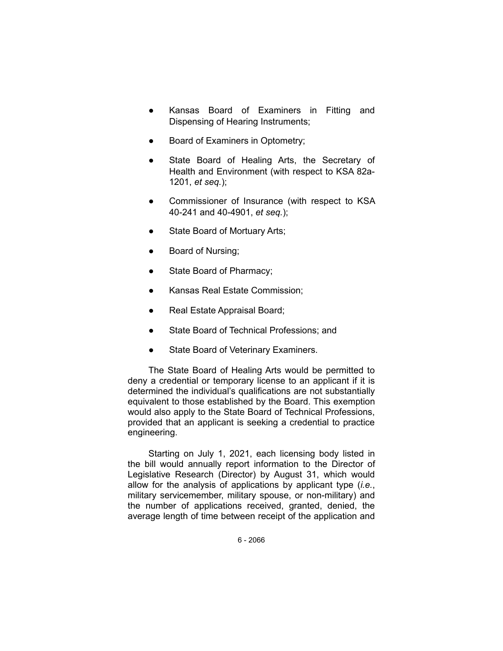- Kansas Board of Examiners in Fitting and Dispensing of Hearing Instruments;
- Board of Examiners in Optometry;
- State Board of Healing Arts, the Secretary of Health and Environment (with respect to KSA 82a-1201, *et seq.*);
- Commissioner of Insurance (with respect to KSA 40-241 and 40-4901, *et seq.*);
- State Board of Mortuary Arts;
- Board of Nursing;
- State Board of Pharmacy;
- Kansas Real Estate Commission;
- Real Estate Appraisal Board;
- State Board of Technical Professions; and
- State Board of Veterinary Examiners.

The State Board of Healing Arts would be permitted to deny a credential or temporary license to an applicant if it is determined the individual's qualifications are not substantially equivalent to those established by the Board. This exemption would also apply to the State Board of Technical Professions, provided that an applicant is seeking a credential to practice engineering.

Starting on July 1, 2021, each licensing body listed in the bill would annually report information to the Director of Legislative Research (Director) by August 31, which would allow for the analysis of applications by applicant type (*i.e.*, military servicemember, military spouse, or non-military) and the number of applications received, granted, denied, the average length of time between receipt of the application and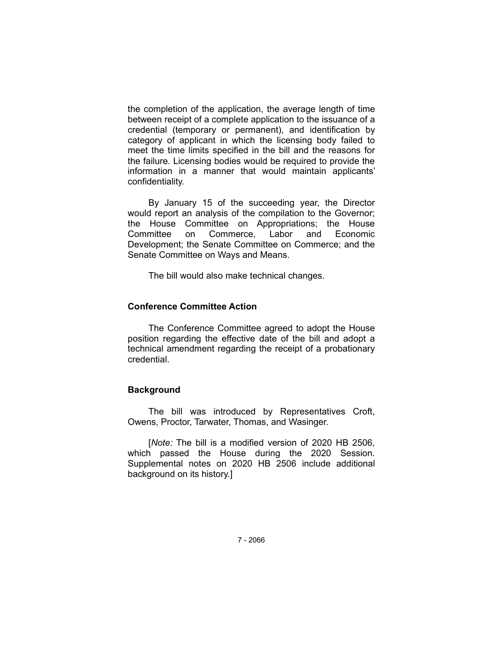the completion of the application, the average length of time between receipt of a complete application to the issuance of a credential (temporary or permanent), and identification by category of applicant in which the licensing body failed to meet the time limits specified in the bill and the reasons for the failure. Licensing bodies would be required to provide the information in a manner that would maintain applicants' confidentiality.

By January 15 of the succeeding year, the Director would report an analysis of the compilation to the Governor; the House Committee on Appropriations; the House Committee on Commerce, Labor and Economic Development; the Senate Committee on Commerce; and the Senate Committee on Ways and Means.

The bill would also make technical changes.

#### **Conference Committee Action**

The Conference Committee agreed to adopt the House position regarding the effective date of the bill and adopt a technical amendment regarding the receipt of a probationary credential.

## **Background**

The bill was introduced by Representatives Croft, Owens, Proctor, Tarwater, Thomas, and Wasinger.

[*Note:* The bill is a modified version of 2020 HB 2506, which passed the House during the 2020 Session. Supplemental notes on 2020 HB 2506 include additional background on its history.]

7 - 2066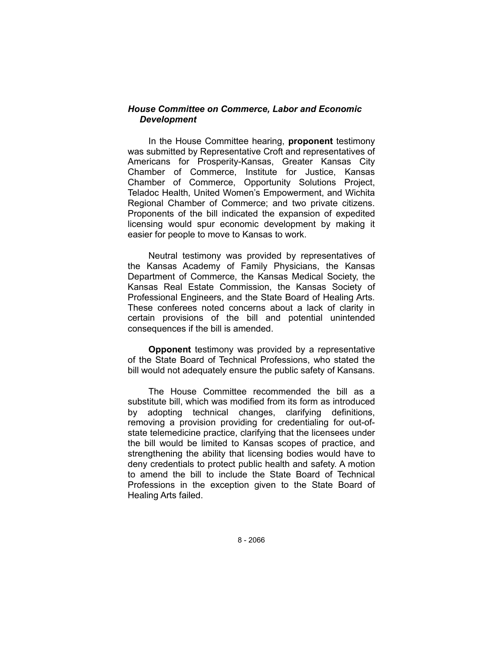## *House Committee on Commerce, Labor and Economic Development*

In the House Committee hearing, **proponent** testimony was submitted by Representative Croft and representatives of Americans for Prosperity-Kansas, Greater Kansas City Chamber of Commerce, Institute for Justice, Kansas Chamber of Commerce, Opportunity Solutions Project, Teladoc Health, United Women's Empowerment, and Wichita Regional Chamber of Commerce; and two private citizens. Proponents of the bill indicated the expansion of expedited licensing would spur economic development by making it easier for people to move to Kansas to work.

Neutral testimony was provided by representatives of the Kansas Academy of Family Physicians, the Kansas Department of Commerce, the Kansas Medical Society, the Kansas Real Estate Commission, the Kansas Society of Professional Engineers, and the State Board of Healing Arts. These conferees noted concerns about a lack of clarity in certain provisions of the bill and potential unintended consequences if the bill is amended.

**Opponent** testimony was provided by a representative of the State Board of Technical Professions, who stated the bill would not adequately ensure the public safety of Kansans.

The House Committee recommended the bill as a substitute bill, which was modified from its form as introduced by adopting technical changes, clarifying definitions, removing a provision providing for credentialing for out-ofstate telemedicine practice, clarifying that the licensees under the bill would be limited to Kansas scopes of practice, and strengthening the ability that licensing bodies would have to deny credentials to protect public health and safety. A motion to amend the bill to include the State Board of Technical Professions in the exception given to the State Board of Healing Arts failed.

8 - 2066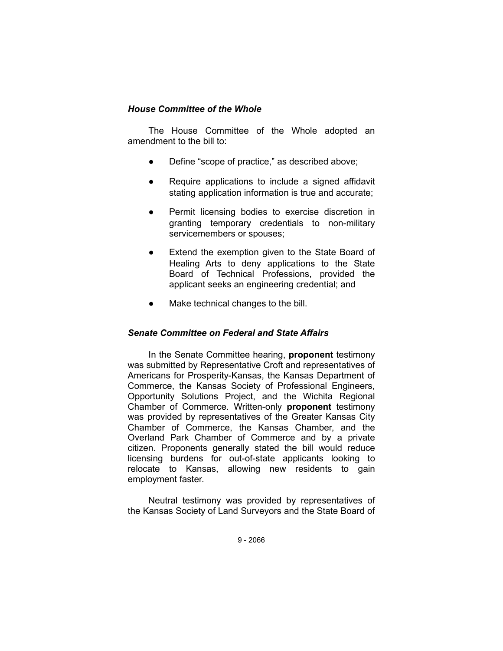# *House Committee of the Whole*

The House Committee of the Whole adopted an amendment to the bill to:

- Define "scope of practice," as described above;
- Require applications to include a signed affidavit stating application information is true and accurate;
- Permit licensing bodies to exercise discretion in granting temporary credentials to non-military servicemembers or spouses;
- Extend the exemption given to the State Board of Healing Arts to deny applications to the State Board of Technical Professions, provided the applicant seeks an engineering credential; and
- Make technical changes to the bill.

## *Senate Committee on Federal and State Affairs*

In the Senate Committee hearing, **proponent** testimony was submitted by Representative Croft and representatives of Americans for Prosperity-Kansas, the Kansas Department of Commerce, the Kansas Society of Professional Engineers, Opportunity Solutions Project, and the Wichita Regional Chamber of Commerce. Written-only **proponent** testimony was provided by representatives of the Greater Kansas City Chamber of Commerce, the Kansas Chamber, and the Overland Park Chamber of Commerce and by a private citizen. Proponents generally stated the bill would reduce licensing burdens for out-of-state applicants looking to relocate to Kansas, allowing new residents to gain employment faster.

Neutral testimony was provided by representatives of the Kansas Society of Land Surveyors and the State Board of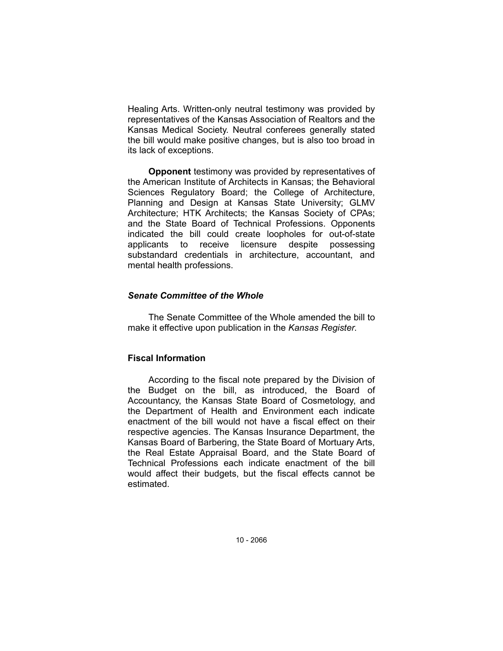Healing Arts. Written-only neutral testimony was provided by representatives of the Kansas Association of Realtors and the Kansas Medical Society. Neutral conferees generally stated the bill would make positive changes, but is also too broad in its lack of exceptions.

**Opponent** testimony was provided by representatives of the American Institute of Architects in Kansas; the Behavioral Sciences Regulatory Board; the College of Architecture, Planning and Design at Kansas State University; GLMV Architecture; HTK Architects; the Kansas Society of CPAs; and the State Board of Technical Professions. Opponents indicated the bill could create loopholes for out-of-state applicants to receive licensure despite possessing substandard credentials in architecture, accountant, and mental health professions.

# *Senate Committee of the Whole*

The Senate Committee of the Whole amended the bill to make it effective upon publication in the *Kansas Register*.

## **Fiscal Information**

According to the fiscal note prepared by the Division of the Budget on the bill, as introduced, the Board of Accountancy, the Kansas State Board of Cosmetology, and the Department of Health and Environment each indicate enactment of the bill would not have a fiscal effect on their respective agencies. The Kansas Insurance Department, the Kansas Board of Barbering, the State Board of Mortuary Arts, the Real Estate Appraisal Board, and the State Board of Technical Professions each indicate enactment of the bill would affect their budgets, but the fiscal effects cannot be estimated.